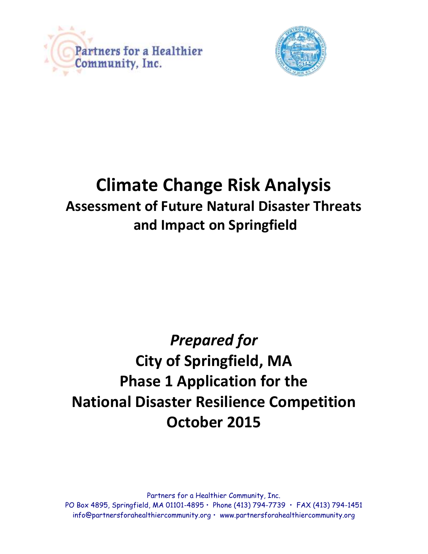



# **Climate Change Risk Analysis Assessment of Future Natural Disaster Threats and Impact on Springfield**

# *Prepared for*  **City of Springfield, MA Phase 1 Application for the National Disaster Resilience Competition October 2015**

Partners for a Healthier Community, Inc. PO Box 4895, Springfield, MA 01101-4895 • Phone (413) 794-7739 • FAX (413) 794-1451 info@partnersforahealthiercommunity.org • www.partnersforahealthiercommunity.org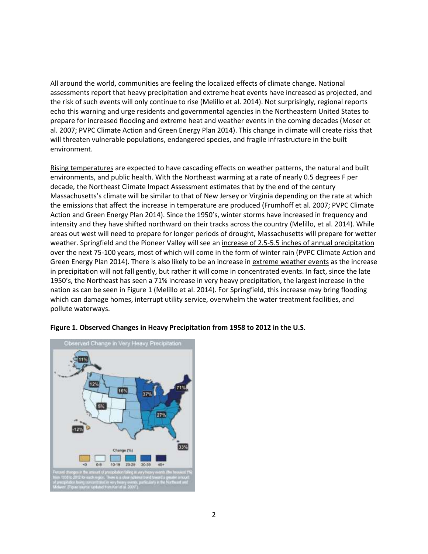All around the world, communities are feeling the localized effects of climate change. National assessments report that heavy precipitation and extreme heat events have increased as projected, and the risk of such events will only continue to rise (Melillo et al. 2014). Not surprisingly, regional reports echo this warning and urge residents and governmental agencies in the Northeastern United States to prepare for increased flooding and extreme heat and weather events in the coming decades (Moser et al. 2007; PVPC Climate Action and Green Energy Plan 2014). This change in climate will create risks that will threaten vulnerable populations, endangered species, and fragile infrastructure in the built environment.

Rising temperatures are expected to have cascading effects on weather patterns, the natural and built environments, and public health. With the Northeast warming at a rate of nearly 0.5 degrees F per decade, the Northeast Climate Impact Assessment estimates that by the end of the century Massachusetts's climate will be similar to that of New Jersey or Virginia depending on the rate at which the emissions that affect the increase in temperature are produced (Frumhoff et al. 2007; PVPC Climate Action and Green Energy Plan 2014). Since the 1950's, winter storms have increased in frequency and intensity and they have shifted northward on their tracks across the country (Melillo, et al. 2014). While areas out west will need to prepare for longer periods of drought, Massachusetts will prepare for wetter weather. Springfield and the Pioneer Valley will see an increase of 2.5-5.5 inches of annual precipitation over the next 75-100 years, most of which will come in the form of winter rain (PVPC Climate Action and Green Energy Plan 2014). There is also likely to be an increase in extreme weather events as the increase in precipitation will not fall gently, but rather it will come in concentrated events. In fact, since the late 1950's, the Northeast has seen a 71% increase in very heavy precipitation, the largest increase in the nation as can be seen in Figure 1 (Melillo et al. 2014). For Springfield, this increase may bring flooding which can damage homes, interrupt utility service, overwhelm the water treatment facilities, and pollute waterways.



# **Figure 1. Observed Changes in Heavy Precipitation from 1958 to 2012 in the U.S.**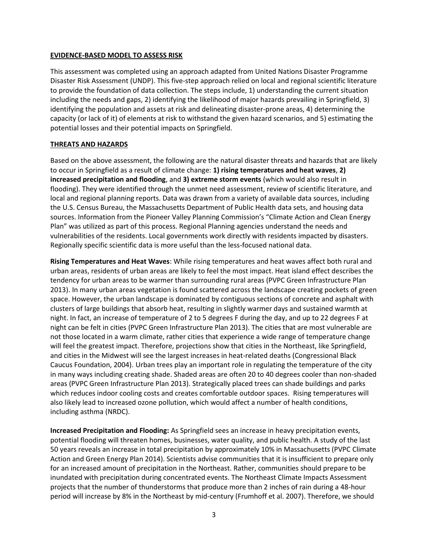## **EVIDENCE-BASED MODEL TO ASSESS RISK**

This assessment was completed using an approach adapted from United Nations Disaster Programme Disaster Risk Assessment (UNDP). This five-step approach relied on local and regional scientific literature to provide the foundation of data collection. The steps include, 1) understanding the current situation including the needs and gaps, 2) identifying the likelihood of major hazards prevailing in Springfield, 3) identifying the population and assets at risk and delineating disaster-prone areas, 4) determining the capacity (or lack of it) of elements at risk to withstand the given hazard scenarios, and 5) estimating the potential losses and their potential impacts on Springfield.

# **THREATS AND HAZARDS**

Based on the above assessment, the following are the natural disaster threats and hazards that are likely to occur in Springfield as a result of climate change: **1) rising temperatures and heat waves**, **2) increased precipitation and flooding**, and **3) extreme storm events** (which would also result in flooding). They were identified through the unmet need assessment, review of scientific literature, and local and regional planning reports. Data was drawn from a variety of available data sources, including the U.S. Census Bureau, the Massachusetts Department of Public Health data sets, and housing data sources. Information from the Pioneer Valley Planning Commission's "Climate Action and Clean Energy Plan" was utilized as part of this process. Regional Planning agencies understand the needs and vulnerabilities of the residents. Local governments work directly with residents impacted by disasters. Regionally specific scientific data is more useful than the less-focused national data.

**Rising Temperatures and Heat Waves**: While rising temperatures and heat waves affect both rural and urban areas, residents of urban areas are likely to feel the most impact. Heat island effect describes the tendency for urban areas to be warmer than surrounding rural areas (PVPC Green Infrastructure Plan 2013). In many urban areas vegetation is found scattered across the landscape creating pockets of green space. However, the urban landscape is dominated by contiguous sections of concrete and asphalt with clusters of large buildings that absorb heat, resulting in slightly warmer days and sustained warmth at night. In fact, an increase of temperature of 2 to 5 degrees F during the day, and up to 22 degrees F at night can be felt in cities (PVPC Green Infrastructure Plan 2013). The cities that are most vulnerable are not those located in a warm climate, rather cities that experience a wide range of temperature change will feel the greatest impact. Therefore, projections show that cities in the Northeast, like Springfield, and cities in the Midwest will see the largest increases in heat-related deaths (Congressional Black Caucus Foundation, 2004). Urban trees play an important role in regulating the temperature of the city in many ways including creating shade. Shaded areas are often 20 to 40 degrees cooler than non-shaded areas (PVPC Green Infrastructure Plan 2013). Strategically placed trees can shade buildings and parks which reduces indoor cooling costs and creates comfortable outdoor spaces. Rising temperatures will also likely lead to increased ozone pollution, which would affect a number of health conditions, including asthma (NRDC).

**Increased Precipitation and Flooding:** As Springfield sees an increase in heavy precipitation events, potential flooding will threaten homes, businesses, water quality, and public health. A study of the last 50 years reveals an increase in total precipitation by approximately 10% in Massachusetts (PVPC Climate Action and Green Energy Plan 2014). Scientists advise communities that it is insufficient to prepare only for an increased amount of precipitation in the Northeast. Rather, communities should prepare to be inundated with precipitation during concentrated events. The Northeast Climate Impacts Assessment projects that the number of thunderstorms that produce more than 2 inches of rain during a 48-hour period will increase by 8% in the Northeast by mid-century (Frumhoff et al. 2007). Therefore, we should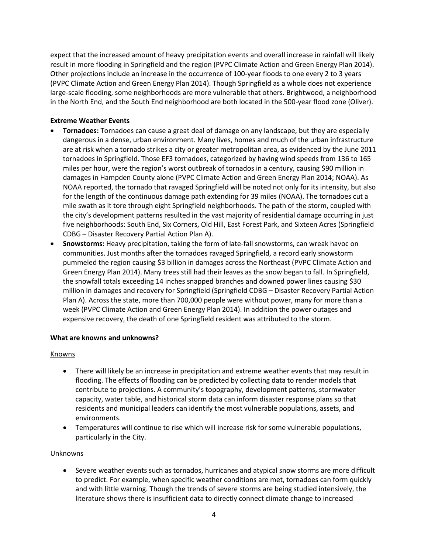expect that the increased amount of heavy precipitation events and overall increase in rainfall will likely result in more flooding in Springfield and the region (PVPC Climate Action and Green Energy Plan 2014). Other projections include an increase in the occurrence of 100-year floods to one every 2 to 3 years (PVPC Climate Action and Green Energy Plan 2014). Though Springfield as a whole does not experience large-scale flooding, some neighborhoods are more vulnerable that others. Brightwood, a neighborhood in the North End, and the South End neighborhood are both located in the 500-year flood zone (Oliver).

# **Extreme Weather Events**

- **Tornadoes:** Tornadoes can cause a great deal of damage on any landscape, but they are especially dangerous in a dense, urban environment. Many lives, homes and much of the urban infrastructure are at risk when a tornado strikes a city or greater metropolitan area, as evidenced by the June 2011 tornadoes in Springfield. Those EF3 tornadoes, categorized by having wind speeds from 136 to 165 miles per hour, were the region's worst outbreak of tornados in a century, causing \$90 million in damages in Hampden County alone (PVPC Climate Action and Green Energy Plan 2014; NOAA). As NOAA reported, the tornado that ravaged Springfield will be noted not only for its intensity, but also for the length of the continuous damage path extending for 39 miles (NOAA). The tornadoes cut a mile swath as it tore through eight Springfield neighborhoods. The path of the storm, coupled with the city's development patterns resulted in the vast majority of residential damage occurring in just five neighborhoods: South End, Six Corners, Old Hill, East Forest Park, and Sixteen Acres (Springfield CDBG – Disaster Recovery Partial Action Plan A).
- **Snowstorms:** Heavy precipitation, taking the form of late-fall snowstorms, can wreak havoc on communities. Just months after the tornadoes ravaged Springfield, a record early snowstorm pummeled the region causing \$3 billion in damages across the Northeast (PVPC Climate Action and Green Energy Plan 2014). Many trees still had their leaves as the snow began to fall. In Springfield, the snowfall totals exceeding 14 inches snapped branches and downed power lines causing \$30 million in damages and recovery for Springfield (Springfield CDBG – Disaster Recovery Partial Action Plan A). Across the state, more than 700,000 people were without power, many for more than a week (PVPC Climate Action and Green Energy Plan 2014). In addition the power outages and expensive recovery, the death of one Springfield resident was attributed to the storm.

# **What are knowns and unknowns?**

# **Knowns**

- There will likely be an increase in precipitation and extreme weather events that may result in flooding. The effects of flooding can be predicted by collecting data to render models that contribute to projections. A community's topography, development patterns, stormwater capacity, water table, and historical storm data can inform disaster response plans so that residents and municipal leaders can identify the most vulnerable populations, assets, and environments.
- Temperatures will continue to rise which will increase risk for some vulnerable populations, particularly in the City.

# Unknowns

 Severe weather events such as tornados, hurricanes and atypical snow storms are more difficult to predict. For example, when specific weather conditions are met, tornadoes can form quickly and with little warning. Though the trends of severe storms are being studied intensively, the literature shows there is insufficient data to directly connect climate change to increased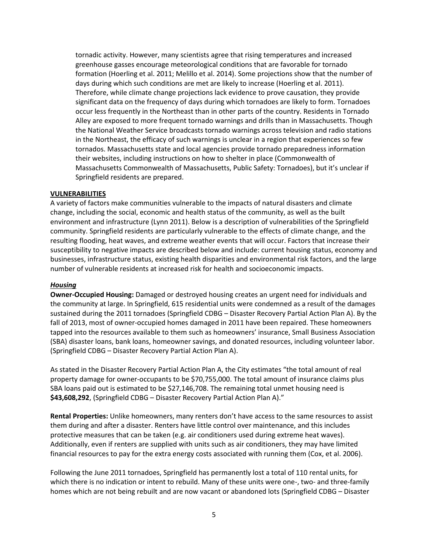tornadic activity. However, many scientists agree that rising temperatures and increased greenhouse gasses encourage meteorological conditions that are favorable for tornado formation (Hoerling et al. 2011; Melillo et al. 2014). Some projections show that the number of days during which such conditions are met are likely to increase (Hoerling et al. 2011). Therefore, while climate change projections lack evidence to prove causation, they provide significant data on the frequency of days during which tornadoes are likely to form. Tornadoes occur less frequently in the Northeast than in other parts of the country. Residents in Tornado Alley are exposed to more frequent tornado warnings and drills than in Massachusetts. Though the National Weather Service broadcasts tornado warnings across television and radio stations in the Northeast, the efficacy of such warnings is unclear in a region that experiences so few tornados. Massachusetts state and local agencies provide tornado preparedness information their websites, including instructions on how to shelter in place (Commonwealth of Massachusetts Commonwealth of Massachusetts, Public Safety: Tornadoes), but it's unclear if Springfield residents are prepared.

#### **VULNERABILITIES**

A variety of factors make communities vulnerable to the impacts of natural disasters and climate change, including the social, economic and health status of the community, as well as the built environment and infrastructure (Lynn 2011). Below is a description of vulnerabilities of the Springfield community. Springfield residents are particularly vulnerable to the effects of climate change, and the resulting flooding, heat waves, and extreme weather events that will occur. Factors that increase their susceptibility to negative impacts are described below and include: current housing status, economy and businesses, infrastructure status, existing health disparities and environmental risk factors, and the large number of vulnerable residents at increased risk for health and socioeconomic impacts.

#### *Housing*

**Owner-Occupied Housing:** Damaged or destroyed housing creates an urgent need for individuals and the community at large. In Springfield, 615 residential units were condemned as a result of the damages sustained during the 2011 tornadoes (Springfield CDBG – Disaster Recovery Partial Action Plan A). By the fall of 2013, most of owner-occupied homes damaged in 2011 have been repaired. These homeowners tapped into the resources available to them such as homeowners' insurance, Small Business Association (SBA) disaster loans, bank loans, homeowner savings, and donated resources, including volunteer labor. (Springfield CDBG – Disaster Recovery Partial Action Plan A).

As stated in the Disaster Recovery Partial Action Plan A, the City estimates "the total amount of real property damage for owner-occupants to be \$70,755,000. The total amount of insurance claims plus SBA loans paid out is estimated to be \$27,146,708. The remaining total unmet housing need is **\$43,608,292**, (Springfield CDBG – Disaster Recovery Partial Action Plan A)."

**Rental Properties:** Unlike homeowners, many renters don't have access to the same resources to assist them during and after a disaster. Renters have little control over maintenance, and this includes protective measures that can be taken (e.g. air conditioners used during extreme heat waves). Additionally, even if renters are supplied with units such as air conditioners, they may have limited financial resources to pay for the extra energy costs associated with running them (Cox, et al. 2006).

Following the June 2011 tornadoes, Springfield has permanently lost a total of 110 rental units, for which there is no indication or intent to rebuild. Many of these units were one-, two- and three-family homes which are not being rebuilt and are now vacant or abandoned lots (Springfield CDBG – Disaster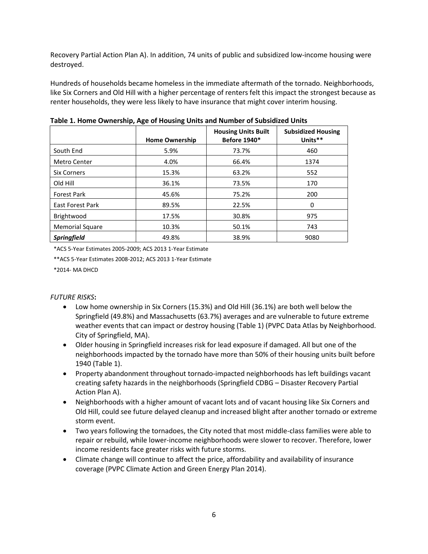Recovery Partial Action Plan A). In addition, 74 units of public and subsidized low-income housing were destroyed.

Hundreds of households became homeless in the immediate aftermath of the tornado. Neighborhoods, like Six Corners and Old Hill with a higher percentage of renters felt this impact the strongest because as renter households, they were less likely to have insurance that might cover interim housing.

|                        | <b>Home Ownership</b> | <b>Housing Units Built</b><br><b>Before 1940*</b> | <b>Subsidized Housing</b><br>Units** |
|------------------------|-----------------------|---------------------------------------------------|--------------------------------------|
| South End              | 5.9%                  | 73.7%                                             | 460                                  |
| <b>Metro Center</b>    | 4.0%                  | 66.4%                                             | 1374                                 |
| <b>Six Corners</b>     | 15.3%                 | 63.2%                                             | 552                                  |
| Old Hill               | 36.1%                 | 73.5%                                             | 170                                  |
| <b>Forest Park</b>     | 45.6%                 | 75.2%                                             | 200                                  |
| East Forest Park       | 89.5%                 | 22.5%                                             | 0                                    |
| Brightwood             | 17.5%                 | 30.8%                                             | 975                                  |
| <b>Memorial Square</b> | 10.3%                 | 50.1%                                             | 743                                  |
| <b>Springfield</b>     | 49.8%                 | 38.9%                                             | 9080                                 |

**Table 1. Home Ownership, Age of Housing Units and Number of Subsidized Units** 

\*ACS 5-Year Estimates 2005-2009; ACS 2013 1-Year Estimate

\*\*ACS 5-Year Estimates 2008-2012; ACS 2013 1-Year Estimate

\*2014- MA DHCD

# *FUTURE RISKS***:**

- Low home ownership in Six Corners (15.3%) and Old Hill (36.1%) are both well below the Springfield (49.8%) and Massachusetts (63.7%) averages and are vulnerable to future extreme weather events that can impact or destroy housing (Table 1) (PVPC Data Atlas by Neighborhood. City of Springfield, MA).
- Older housing in Springfield increases risk for lead exposure if damaged. All but one of the neighborhoods impacted by the tornado have more than 50% of their housing units built before 1940 (Table 1).
- Property abandonment throughout tornado-impacted neighborhoods has left buildings vacant creating safety hazards in the neighborhoods (Springfield CDBG – Disaster Recovery Partial Action Plan A).
- Neighborhoods with a higher amount of vacant lots and of vacant housing like Six Corners and Old Hill, could see future delayed cleanup and increased blight after another tornado or extreme storm event.
- Two years following the tornadoes, the City noted that most middle-class families were able to repair or rebuild, while lower-income neighborhoods were slower to recover. Therefore, lower income residents face greater risks with future storms.
- Climate change will continue to affect the price, affordability and availability of insurance coverage (PVPC Climate Action and Green Energy Plan 2014).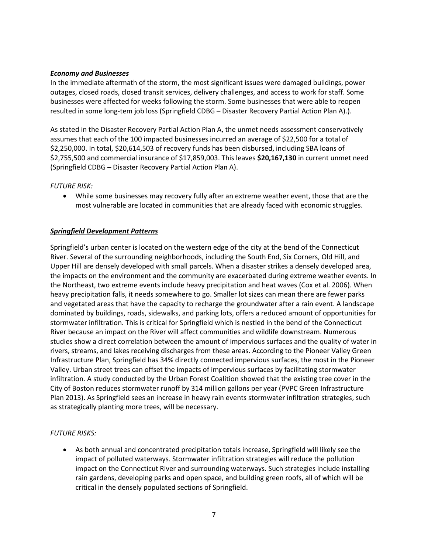## *Economy and Businesses*

In the immediate aftermath of the storm, the most significant issues were damaged buildings, power outages, closed roads, closed transit services, delivery challenges, and access to work for staff. Some businesses were affected for weeks following the storm. Some businesses that were able to reopen resulted in some long-tem job loss (Springfield CDBG – Disaster Recovery Partial Action Plan A).).

As stated in the Disaster Recovery Partial Action Plan A, the unmet needs assessment conservatively assumes that each of the 100 impacted businesses incurred an average of \$22,500 for a total of \$2,250,000. In total, \$20,614,503 of recovery funds has been disbursed, including SBA loans of \$2,755,500 and commercial insurance of \$17,859,003. This leaves **\$20,167,130** in current unmet need (Springfield CDBG – Disaster Recovery Partial Action Plan A).

## *FUTURE RISK:*

 While some businesses may recovery fully after an extreme weather event, those that are the most vulnerable are located in communities that are already faced with economic struggles.

# *Springfield Development Patterns*

Springfield's urban center is located on the western edge of the city at the bend of the Connecticut River. Several of the surrounding neighborhoods, including the South End, Six Corners, Old Hill, and Upper Hill are densely developed with small parcels. When a disaster strikes a densely developed area, the impacts on the environment and the community are exacerbated during extreme weather events. In the Northeast, two extreme events include heavy precipitation and heat waves (Cox et al. 2006). When heavy precipitation falls, it needs somewhere to go. Smaller lot sizes can mean there are fewer parks and vegetated areas that have the capacity to recharge the groundwater after a rain event. A landscape dominated by buildings, roads, sidewalks, and parking lots, offers a reduced amount of opportunities for stormwater infiltration. This is critical for Springfield which is nestled in the bend of the Connecticut River because an impact on the River will affect communities and wildlife downstream. Numerous studies show a direct correlation between the amount of impervious surfaces and the quality of water in rivers, streams, and lakes receiving discharges from these areas. According to the Pioneer Valley Green Infrastructure Plan, Springfield has 34% directly connected impervious surfaces, the most in the Pioneer Valley. Urban street trees can offset the impacts of impervious surfaces by facilitating stormwater infiltration. A study conducted by the Urban Forest Coalition showed that the existing tree cover in the City of Boston reduces stormwater runoff by 314 million gallons per year (PVPC Green Infrastructure Plan 2013). As Springfield sees an increase in heavy rain events stormwater infiltration strategies, such as strategically planting more trees, will be necessary.

# *FUTURE RISKS:*

 As both annual and concentrated precipitation totals increase, Springfield will likely see the impact of polluted waterways. Stormwater infiltration strategies will reduce the pollution impact on the Connecticut River and surrounding waterways. Such strategies include installing rain gardens, developing parks and open space, and building green roofs, all of which will be critical in the densely populated sections of Springfield.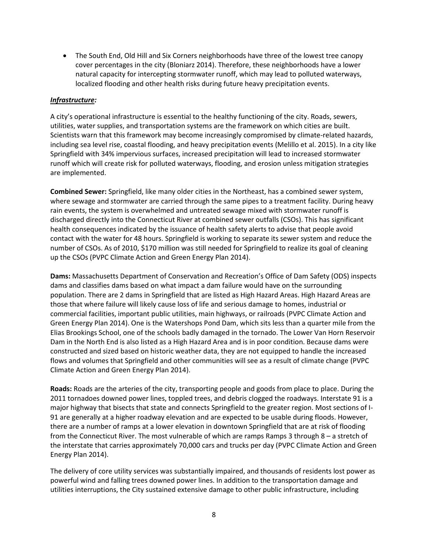• The South End, Old Hill and Six Corners neighborhoods have three of the lowest tree canopy cover percentages in the city (Bloniarz 2014). Therefore, these neighborhoods have a lower natural capacity for intercepting stormwater runoff, which may lead to polluted waterways, localized flooding and other health risks during future heavy precipitation events.

## *Infrastructure:*

A city's operational infrastructure is essential to the healthy functioning of the city. Roads, sewers, utilities, water supplies, and transportation systems are the framework on which cities are built. Scientists warn that this framework may become increasingly compromised by climate-related hazards, including sea level rise, coastal flooding, and heavy precipitation events (Melillo et al. 2015). In a city like Springfield with 34% impervious surfaces, increased precipitation will lead to increased stormwater runoff which will create risk for polluted waterways, flooding, and erosion unless mitigation strategies are implemented.

**Combined Sewer:** Springfield, like many older cities in the Northeast, has a combined sewer system, where sewage and stormwater are carried through the same pipes to a treatment facility. During heavy rain events, the system is overwhelmed and untreated sewage mixed with stormwater runoff is discharged directly into the Connecticut River at combined sewer outfalls (CSOs). This has significant health consequences indicated by the issuance of health safety alerts to advise that people avoid contact with the water for 48 hours. Springfield is working to separate its sewer system and reduce the number of CSOs. As of 2010, \$170 million was still needed for Springfield to realize its goal of cleaning up the CSOs (PVPC Climate Action and Green Energy Plan 2014).

**Dams:** Massachusetts Department of Conservation and Recreation's Office of Dam Safety (ODS) inspects dams and classifies dams based on what impact a dam failure would have on the surrounding population. There are 2 dams in Springfield that are listed as High Hazard Areas. High Hazard Areas are those that where failure will likely cause loss of life and serious damage to homes, industrial or commercial facilities, important public utilities, main highways, or railroads (PVPC Climate Action and Green Energy Plan 2014). One is the Watershops Pond Dam, which sits less than a quarter mile from the Elias Brookings School, one of the schools badly damaged in the tornado. The Lower Van Horn Reservoir Dam in the North End is also listed as a High Hazard Area and is in poor condition. Because dams were constructed and sized based on historic weather data, they are not equipped to handle the increased flows and volumes that Springfield and other communities will see as a result of climate change (PVPC Climate Action and Green Energy Plan 2014).

**Roads:** Roads are the arteries of the city, transporting people and goods from place to place. During the 2011 tornadoes downed power lines, toppled trees, and debris clogged the roadways. Interstate 91 is a major highway that bisects that state and connects Springfield to the greater region. Most sections of I-91 are generally at a higher roadway elevation and are expected to be usable during floods. However, there are a number of ramps at a lower elevation in downtown Springfield that are at risk of flooding from the Connecticut River. The most vulnerable of which are ramps Ramps 3 through 8 – a stretch of the interstate that carries approximately 70,000 cars and trucks per day (PVPC Climate Action and Green Energy Plan 2014).

The delivery of core utility services was substantially impaired, and thousands of residents lost power as powerful wind and falling trees downed power lines. In addition to the transportation damage and utilities interruptions, the City sustained extensive damage to other public infrastructure, including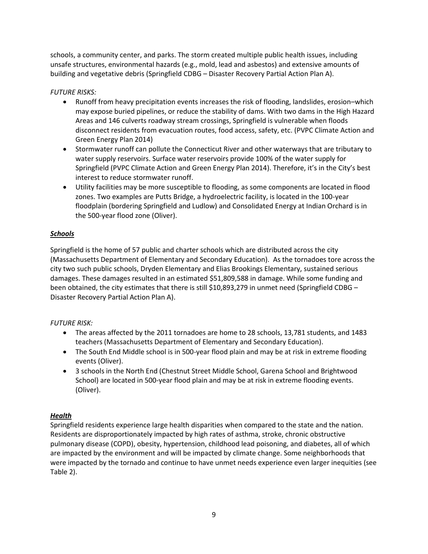schools, a community center, and parks. The storm created multiple public health issues, including unsafe structures, environmental hazards (e.g., mold, lead and asbestos) and extensive amounts of building and vegetative debris (Springfield CDBG – Disaster Recovery Partial Action Plan A).

# *FUTURE RISKS:*

- Runoff from heavy precipitation events increases the risk of flooding, landslides, erosion–which may expose buried pipelines, or reduce the stability of dams. With two dams in the High Hazard Areas and 146 culverts roadway stream crossings, Springfield is vulnerable when floods disconnect residents from evacuation routes, food access, safety, etc. (PVPC Climate Action and Green Energy Plan 2014)
- Stormwater runoff can pollute the Connecticut River and other waterways that are tributary to water supply reservoirs. Surface water reservoirs provide 100% of the water supply for Springfield (PVPC Climate Action and Green Energy Plan 2014). Therefore, it's in the City's best interest to reduce stormwater runoff.
- Utility facilities may be more susceptible to flooding, as some components are located in flood zones. Two examples are Putts Bridge, a hydroelectric facility, is located in the 100-year floodplain (bordering Springfield and Ludlow) and Consolidated Energy at Indian Orchard is in the 500-year flood zone (Oliver).

# *Schools*

Springfield is the home of 57 public and charter schools which are distributed across the city (Massachusetts Department of Elementary and Secondary Education). As the tornadoes tore across the city two such public schools, Dryden Elementary and Elias Brookings Elementary, sustained serious damages. These damages resulted in an estimated \$51,809,588 in damage. While some funding and been obtained, the city estimates that there is still \$10,893,279 in unmet need (Springfield CDBG – Disaster Recovery Partial Action Plan A).

# *FUTURE RISK:*

- The areas affected by the 2011 tornadoes are home to 28 schools, 13,781 students, and 1483 teachers (Massachusetts Department of Elementary and Secondary Education).
- The South End Middle school is in 500-year flood plain and may be at risk in extreme flooding events (Oliver).
- 3 schools in the North End (Chestnut Street Middle School, Garena School and Brightwood School) are located in 500-year flood plain and may be at risk in extreme flooding events. (Oliver).

# *Health*

Springfield residents experience large health disparities when compared to the state and the nation. Residents are disproportionately impacted by high rates of asthma, stroke, chronic obstructive pulmonary disease (COPD), obesity, hypertension, childhood lead poisoning, and diabetes, all of which are impacted by the environment and will be impacted by climate change. Some neighborhoods that were impacted by the tornado and continue to have unmet needs experience even larger inequities (see Table 2).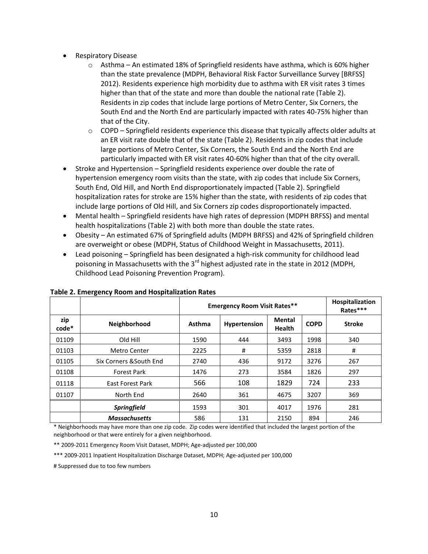- Respiratory Disease
	- o Asthma An estimated 18% of Springfield residents have asthma, which is 60% higher than the state prevalence (MDPH, Behavioral Risk Factor Surveillance Survey [BRFSS] 2012). Residents experience high morbidity due to asthma with ER visit rates 3 times higher than that of the state and more than double the national rate (Table 2). Residents in zip codes that include large portions of Metro Center, Six Corners, the South End and the North End are particularly impacted with rates 40-75% higher than that of the City.
	- $\circ$  COPD Springfield residents experience this disease that typically affects older adults at an ER visit rate double that of the state (Table 2). Residents in zip codes that include large portions of Metro Center, Six Corners, the South End and the North End are particularly impacted with ER visit rates 40-60% higher than that of the city overall.
- Stroke and Hypertension Springfield residents experience over double the rate of hypertension emergency room visits than the state, with zip codes that include Six Corners, South End, Old Hill, and North End disproportionately impacted (Table 2). Springfield hospitalization rates for stroke are 15% higher than the state, with residents of zip codes that include large portions of Old Hill, and Six Corners zip codes disproportionately impacted.
- Mental health Springfield residents have high rates of depression (MDPH BRFSS) and mental health hospitalizations (Table 2) with both more than double the state rates.
- Obesity An estimated 67% of Springfield adults (MDPH BRFSS) and 42% of Springfield children are overweight or obese (MDPH, Status of Childhood Weight in Massachusetts, 2011).
- Lead poisoning Springfield has been designated a high-risk community for childhood lead poisoning in Massachusetts with the  $3<sup>rd</sup>$  highest adjusted rate in the state in 2012 (MDPH, Childhood Lead Poisoning Prevention Program).

|              |                         | <b>Emergency Room Visit Rates**</b> |              |                                |             | Hospitalization<br>Rates*** |
|--------------|-------------------------|-------------------------------------|--------------|--------------------------------|-------------|-----------------------------|
| zip<br>code* | Neighborhood            | Asthma                              | Hypertension | <b>Mental</b><br><b>Health</b> | <b>COPD</b> | <b>Stroke</b>               |
| 01109        | Old Hill                | 1590                                | 444          | 3493                           | 1998        | 340                         |
| 01103        | Metro Center            | 2225                                | #            | 5359                           | 2818        | #                           |
| 01105        | Six Corners & South End | 2740                                | 436          | 9172                           | 3276        | 267                         |
| 01108        | <b>Forest Park</b>      | 1476                                | 273          | 3584                           | 1826        | 297                         |
| 01118        | <b>East Forest Park</b> | 566                                 | 108          | 1829                           | 724         | 233                         |
| 01107        | North End               | 2640                                | 361          | 4675                           | 3207        | 369                         |
|              | <b>Springfield</b>      | 1593                                | 301          | 4017                           | 1976        | 281                         |
|              | <b>Massachusetts</b>    | 586                                 | 131          | 2150                           | 894         | 246                         |

#### **Table 2. Emergency Room and Hospitalization Rates**

\* Neighborhoods may have more than one zip code. Zip codes were identified that included the largest portion of the neighborhood or that were entirely for a given neighborhood.

\*\* 2009-2011 Emergency Room Visit Dataset, MDPH; Age-adjusted per 100,000

\*\*\* 2009-2011 Inpatient Hospitalization Discharge Dataset, MDPH; Age-adjusted per 100,000

# Suppressed due to too few numbers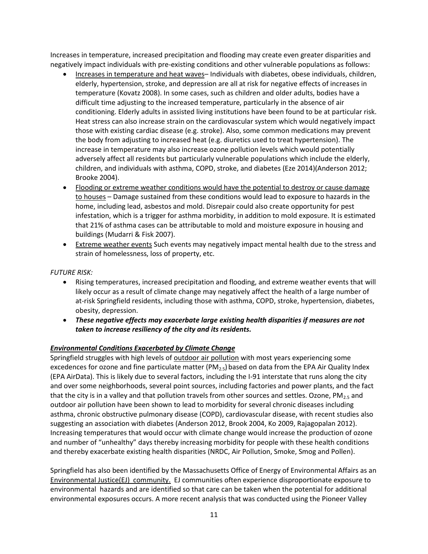Increases in temperature, increased precipitation and flooding may create even greater disparities and negatively impact individuals with pre-existing conditions and other vulnerable populations as follows:

- Increases in temperature and heat waves– Individuals with diabetes, obese individuals, children, elderly, hypertension, stroke, and depression are all at risk for negative effects of increases in temperature (Kovatz 2008). In some cases, such as children and older adults, bodies have a difficult time adjusting to the increased temperature, particularly in the absence of air conditioning. Elderly adults in assisted living institutions have been found to be at particular risk. Heat stress can also increase strain on the cardiovascular system which would negatively impact those with existing cardiac disease (e.g. stroke). Also, some common medications may prevent the body from adjusting to increased heat (e.g. diuretics used to treat hypertension). The increase in temperature may also increase ozone pollution levels which would potentially adversely affect all residents but particularly vulnerable populations which include the elderly, children, and individuals with asthma, COPD, stroke, and diabetes (Eze 2014)(Anderson 2012; Brooke 2004).
- Flooding or extreme weather conditions would have the potential to destroy or cause damage to houses – Damage sustained from these conditions would lead to exposure to hazards in the home, including lead, asbestos and mold. Disrepair could also create opportunity for pest infestation, which is a trigger for asthma morbidity, in addition to mold exposure. It is estimated that 21% of asthma cases can be attributable to mold and moisture exposure in housing and buildings (Mudarri & Fisk 2007).
- Extreme weather events Such events may negatively impact mental health due to the stress and strain of homelessness, loss of property, etc.

# *FUTURE RISK:*

- Rising temperatures, increased precipitation and flooding, and extreme weather events that will likely occur as a result of climate change may negatively affect the health of a large number of at-risk Springfield residents, including those with asthma, COPD, stroke, hypertension, diabetes, obesity, depression.
- *These negative effects may exacerbate large existing health disparities if measures are not taken to increase resiliency of the city and its residents.*

# *Environmental Conditions Exacerbated by Climate Change*

Springfield struggles with high levels of outdoor air pollution with most years experiencing some excedences for ozone and fine particulate matter ( $PM_{2.5}$ ) based on data from the EPA Air Quality Index (EPA AirData). This is likely due to several factors, including the I-91 interstate that runs along the city and over some neighborhoods, several point sources, including factories and power plants, and the fact that the city is in a valley and that pollution travels from other sources and settles. Ozone,  $PM_{2.5}$  and outdoor air pollution have been shown to lead to morbidity for several chronic diseases including asthma, chronic obstructive pulmonary disease (COPD), cardiovascular disease, with recent studies also suggesting an association with diabetes (Anderson 2012, Brook 2004, Ko 2009, Rajagopalan 2012). Increasing temperatures that would occur with climate change would increase the production of ozone and number of "unhealthy" days thereby increasing morbidity for people with these health conditions and thereby exacerbate existing health disparities (NRDC, Air Pollution, Smoke, Smog and Pollen).

Springfield has also been identified by the Massachusetts Office of Energy of Environmental Affairs as an Environmental Justice(EJ) community. EJ communities often experience disproportionate exposure to environmental hazards and are identified so that care can be taken when the potential for additional environmental exposures occurs. A more recent analysis that was conducted using the Pioneer Valley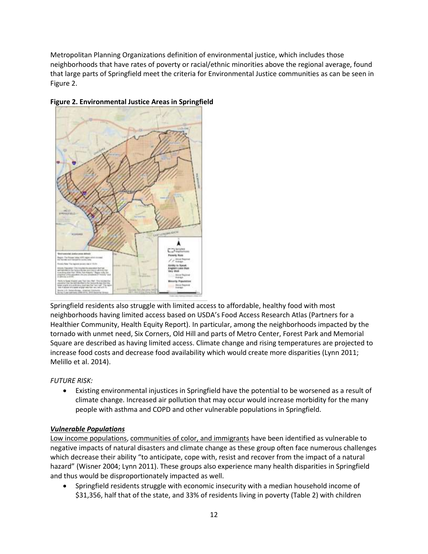Metropolitan Planning Organizations definition of environmental justice, which includes those neighborhoods that have rates of poverty or racial/ethnic minorities above the regional average, found that large parts of Springfield meet the criteria for Environmental Justice communities as can be seen in Figure 2.



# **Figure 2. Environmental Justice Areas in Springfield**

Springfield residents also struggle with limited access to affordable, healthy food with most neighborhoods having limited access based on USDA's Food Access Research Atlas (Partners for a Healthier Community, Health Equity Report). In particular, among the neighborhoods impacted by the tornado with unmet need, Six Corners, Old Hill and parts of Metro Center, Forest Park and Memorial Square are described as having limited access. Climate change and rising temperatures are projected to increase food costs and decrease food availability which would create more disparities (Lynn 2011; Melillo et al. 2014).

# *FUTURE RISK:*

 Existing environmental injustices in Springfield have the potential to be worsened as a result of climate change. Increased air pollution that may occur would increase morbidity for the many people with asthma and COPD and other vulnerable populations in Springfield.

# *Vulnerable Populations*

Low income populations, communities of color, and immigrants have been identified as vulnerable to negative impacts of natural disasters and climate change as these group often face numerous challenges which decrease their ability "to anticipate, cope with, resist and recover from the impact of a natural hazard" (Wisner 2004; Lynn 2011). These groups also experience many health disparities in Springfield and thus would be disproportionately impacted as well.

 Springfield residents struggle with economic insecurity with a median household income of \$31,356, half that of the state, and 33% of residents living in poverty (Table 2) with children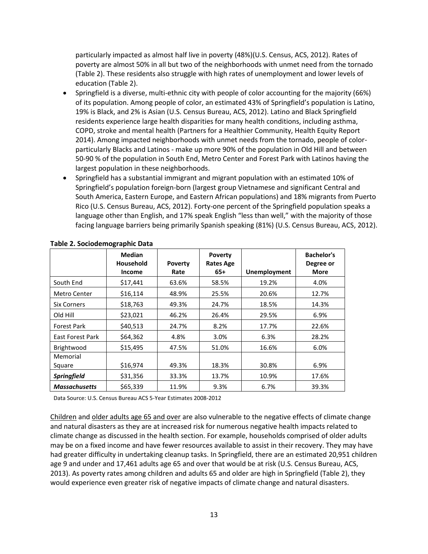particularly impacted as almost half live in poverty (48%)(U.S. Census, ACS, 2012). Rates of poverty are almost 50% in all but two of the neighborhoods with unmet need from the tornado (Table 2). These residents also struggle with high rates of unemployment and lower levels of education (Table 2).

- Springfield is a diverse, multi-ethnic city with people of color accounting for the majority (66%) of its population. Among people of color, an estimated 43% of Springfield's population is Latino, 19% is Black, and 2% is Asian (U.S. Census Bureau, ACS, 2012). Latino and Black Springfield residents experience large health disparities for many health conditions, including asthma, COPD, stroke and mental health (Partners for a Healthier Community, Health Equity Report 2014). Among impacted neighborhoods with unmet needs from the tornado, people of colorparticularly Blacks and Latinos - make up more 90% of the population in Old Hill and between 50-90 % of the population in South End, Metro Center and Forest Park with Latinos having the largest population in these neighborhoods.
- Springfield has a substantial immigrant and migrant population with an estimated 10% of Springfield's population foreign-born (largest group Vietnamese and significant Central and South America, Eastern Europe, and Eastern African populations) and 18% migrants from Puerto Rico (U.S. Census Bureau, ACS, 2012). Forty-one percent of the Springfield population speaks a language other than English, and 17% speak English "less than well," with the majority of those facing language barriers being primarily Spanish speaking (81%) (U.S. Census Bureau, ACS, 2012).

|                         | <b>Median</b><br><b>Household</b><br><b>Income</b> | <b>Poverty</b><br>Rate | <b>Poverty</b><br><b>Rates Age</b><br>$65+$ | <b>Unemployment</b> | <b>Bachelor's</b><br>Degree or<br><b>More</b> |
|-------------------------|----------------------------------------------------|------------------------|---------------------------------------------|---------------------|-----------------------------------------------|
| South End               | \$17,441                                           | 63.6%                  | 58.5%                                       | 19.2%               | 4.0%                                          |
| Metro Center            | \$16,114                                           | 48.9%                  | 25.5%                                       | 20.6%               | 12.7%                                         |
| <b>Six Corners</b>      | \$18,763                                           | 49.3%                  | 24.7%                                       | 18.5%               | 14.3%                                         |
| Old Hill                | \$23,021                                           | 46.2%                  | 26.4%                                       | 29.5%               | 6.9%                                          |
| <b>Forest Park</b>      | \$40,513                                           | 24.7%                  | 8.2%                                        | 17.7%               | 22.6%                                         |
| <b>East Forest Park</b> | \$64,362                                           | 4.8%                   | 3.0%                                        | 6.3%                | 28.2%                                         |
| Brightwood              | \$15,495                                           | 47.5%                  | 51.0%                                       | 16.6%               | 6.0%                                          |
| Memorial<br>Square      | \$16,974                                           | 49.3%                  | 18.3%                                       | 30.8%               | 6.9%                                          |
| <b>Springfield</b>      | \$31,356                                           | 33.3%                  | 13.7%                                       | 10.9%               | 17.6%                                         |
| <b>Massachusetts</b>    | \$65,339                                           | 11.9%                  | 9.3%                                        | 6.7%                | 39.3%                                         |

# **Table 2. Sociodemographic Data**

Data Source: U.S. Census Bureau ACS 5-Year Estimates 2008-2012

Children and older adults age 65 and over are also vulnerable to the negative effects of climate change and natural disasters as they are at increased risk for numerous negative health impacts related to climate change as discussed in the health section. For example, households comprised of older adults may be on a fixed income and have fewer resources available to assist in their recovery. They may have had greater difficulty in undertaking cleanup tasks. In Springfield, there are an estimated 20,951 children age 9 and under and 17,461 adults age 65 and over that would be at risk (U.S. Census Bureau, ACS, 2013). As poverty rates among children and adults 65 and older are high in Springfield (Table 2), they would experience even greater risk of negative impacts of climate change and natural disasters.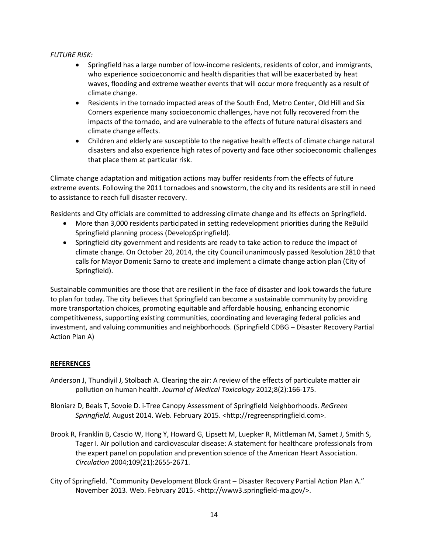# *FUTURE RISK:*

- Springfield has a large number of low-income residents, residents of color, and immigrants, who experience socioeconomic and health disparities that will be exacerbated by heat waves, flooding and extreme weather events that will occur more frequently as a result of climate change.
- Residents in the tornado impacted areas of the South End, Metro Center, Old Hill and Six Corners experience many socioeconomic challenges, have not fully recovered from the impacts of the tornado, and are vulnerable to the effects of future natural disasters and climate change effects.
- Children and elderly are susceptible to the negative health effects of climate change natural disasters and also experience high rates of poverty and face other socioeconomic challenges that place them at particular risk.

Climate change adaptation and mitigation actions may buffer residents from the effects of future extreme events. Following the 2011 tornadoes and snowstorm, the city and its residents are still in need to assistance to reach full disaster recovery.

Residents and City officials are committed to addressing climate change and its effects on Springfield.

- More than 3,000 residents participated in setting redevelopment priorities during the ReBuild Springfield planning process (DevelopSpringfield).
- Springfield city government and residents are ready to take action to reduce the impact of climate change. On October 20, 2014, the city Council unanimously passed Resolution 2810 that calls for Mayor Domenic Sarno to create and implement a climate change action plan (City of Springfield).

Sustainable communities are those that are resilient in the face of disaster and look towards the future to plan for today. The city believes that Springfield can become a sustainable community by providing more transportation choices, promoting equitable and affordable housing, enhancing economic competitiveness, supporting existing communities, coordinating and leveraging federal policies and investment, and valuing communities and neighborhoods. (Springfield CDBG – Disaster Recovery Partial Action Plan A)

# **REFERENCES**

- Anderson J, Thundiyil J, Stolbach A. Clearing the air: A review of the effects of particulate matter air pollution on human health. *Journal of Medical Toxicology* 2012;8(2):166-175.
- Bloniarz D, Beals T, Sovoie D. i-Tree Canopy Assessment of Springfield Neighborhoods. *ReGreen Springfield.* August 2014. Web. February 2015. <http://regreenspringfield.com>.
- Brook R, Franklin B, Cascio W, Hong Y, Howard G, Lipsett M, Luepker R, Mittleman M, Samet J, Smith S, Tager I. Air pollution and cardiovascular disease: A statement for healthcare professionals from the expert panel on population and prevention science of the American Heart Association. *Circulation* 2004;109(21):2655-2671.
- City of Springfield. "Community Development Block Grant Disaster Recovery Partial Action Plan A." November 2013. Web. February 2015. <http://www3.springfield-ma.gov/>.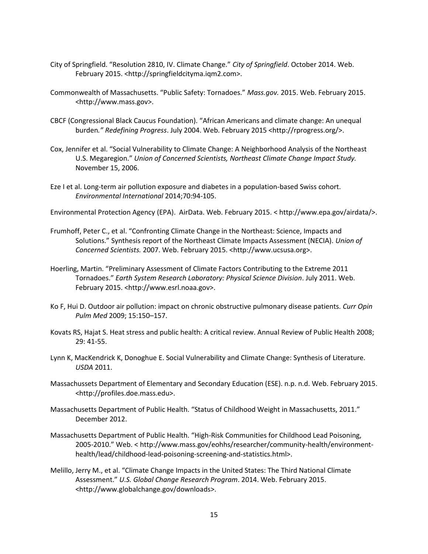- City of Springfield. "Resolution 2810, IV. Climate Change." *City of Springfield*. October 2014. Web. February 2015. <http://springfieldcityma.iqm2.com>.
- Commonwealth of Massachusetts. "Public Safety: Tornadoes." *Mass.gov.* 2015. Web. February 2015. <http://www.mass.gov>.
- CBCF (Congressional Black Caucus Foundation). "African Americans and climate change: An unequal burden*." Redefining Progress*. July 2004. Web. February 2015 <http://rprogress.org/>.
- Cox, Jennifer et al. "Social Vulnerability to Climate Change: A Neighborhood Analysis of the Northeast U.S. Megaregion." *Union of Concerned Scientists, Northeast Climate Change Impact Study.*  November 15, 2006.
- Eze I et al. Long-term air pollution exposure and diabetes in a population-based Swiss cohort. *Environmental International* 2014;70:94-105.
- Environmental Protection Agency (EPA). AirData. Web. February 2015. < http://www.epa.gov/airdata/>.
- Frumhoff, Peter C., et al. "Confronting Climate Change in the Northeast: Science, Impacts and Solutions." Synthesis report of the Northeast Climate Impacts Assessment (NECIA). *Union of Concerned Scientists.* 2007. Web. February 2015. <http://www.ucsusa.org>.
- Hoerling, Martin. "Preliminary Assessment of Climate Factors Contributing to the Extreme 2011 Tornadoes." *Earth System Research Laboratory: Physical Science Division*. July 2011. Web. February 2015. <http://www.esrl.noaa.gov>.
- Ko F, Hui D. Outdoor air pollution: impact on chronic obstructive pulmonary disease patients. *Curr Opin Pulm Med* 2009; 15:150–157.
- Kovats RS, Hajat S. Heat stress and public health: A critical review. Annual Review of Public Health 2008; 29: 41-55.
- Lynn K, MacKendrick K, Donoghue E. Social Vulnerability and Climate Change: Synthesis of Literature. *USDA* 2011.
- Massachussets Department of Elementary and Secondary Education (ESE). n.p. n.d. Web. February 2015. <http://profiles.doe.mass.edu>.
- Massachusetts Department of Public Health. "Status of Childhood Weight in Massachusetts, 2011." December 2012.
- Massachusetts Department of Public Health. "High-Risk Communities for Childhood Lead Poisoning, 2005-2010." Web. < http://www.mass.gov/eohhs/researcher/community-health/environmenthealth/lead/childhood-lead-poisoning-screening-and-statistics.html>.
- Melillo, Jerry M., et al. "Climate Change Impacts in the United States: The Third National Climate Assessment." *U.S. Global Change Research Program*. 2014. Web. February 2015. <http://www.globalchange.gov/downloads>.